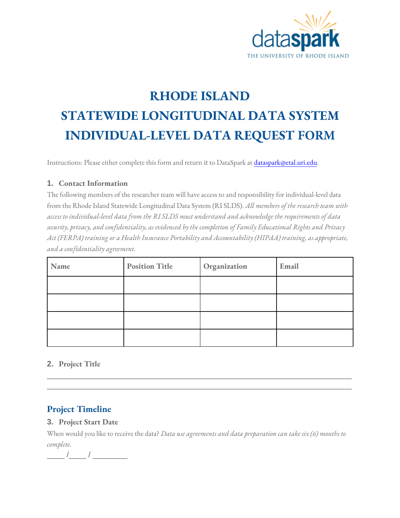

# **RHODE ISLAND STATEWIDE LONGITUDINAL DATA SYSTEM INDIVIDUAL-LEVEL DATA REQUEST FORM**

Instructions: Please either complete this form and return it to DataSpark at *dataspark@etal.uri.edu.* 

#### **1. Contact Information**

The following members of the researcher team will have access to and responsibility for individual-level data from the Rhode Island Statewide Longitudinal Data System (RI SLDS). *All members of the research team with access to individual-level data from the RI SLDS must understand and acknowledge the requirements of data security, privacy, and confidentiality, as evidenced by the completion of Family Educational Rights and Privacy Act (FERPA) training or a Health Insurance Portability and Accountability (HIPAA) training, as appropriate, and a confidentiality agreement.*

| Name | <b>Position Title</b> | Organization | Email |
|------|-----------------------|--------------|-------|
|      |                       |              |       |
|      |                       |              |       |
|      |                       |              |       |
|      |                       |              |       |

\_\_\_\_\_\_\_\_\_\_\_\_\_\_\_\_\_\_\_\_\_\_\_\_\_\_\_\_\_\_\_\_\_\_\_\_\_\_\_\_\_\_\_\_\_\_\_\_\_\_\_\_\_\_\_\_\_\_\_\_\_\_\_\_\_\_\_\_\_\_ \_\_\_\_\_\_\_\_\_\_\_\_\_\_\_\_\_\_\_\_\_\_\_\_\_\_\_\_\_\_\_\_\_\_\_\_\_\_\_\_\_\_\_\_\_\_\_\_\_\_\_\_\_\_\_\_\_\_\_\_\_\_\_\_\_\_\_\_\_\_

#### **2. Project Title**

## **Project Timeline**

#### **3. Project Start Date**

When would you like to receive the data? *Data use agreements and data preparation can take six (6) months to complete.*

 $\frac{\Delta}{\Delta}$  /  $\frac{\Delta}{\Delta}$  /  $\frac{\Delta}{\Delta}$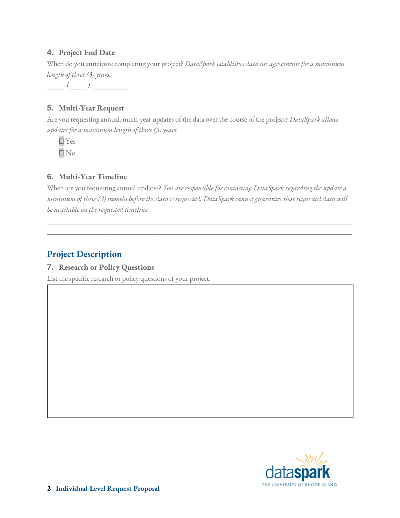#### **4. Project End Date**

When do you anticipate completing your project? *DataSpark establishes data use agreements for a maximum length of three (3) years.* 

 $\frac{\frac{1}{2} \left( \frac{1}{2} \right) \left( \frac{1}{2} \right) \left( \frac{1}{2} \right) \left( \frac{1}{2} \right) \left( \frac{1}{2} \right) \left( \frac{1}{2} \right) \left( \frac{1}{2} \right) \left( \frac{1}{2} \right) \left( \frac{1}{2} \right) \left( \frac{1}{2} \right) \left( \frac{1}{2} \right) \left( \frac{1}{2} \right) \left( \frac{1}{2} \right) \left( \frac{1}{2} \right) \left( \frac{1}{2} \right) \left( \frac{1}{2} \right) \left($ 

#### **5. Multi-Year Request**

Are you requesting annual, multi-year updates of the data over the course of the project? *DataSpark allows updates for a maximum length of three (3) years.* 

□ Yes □ No

### **6. Multi-Year Timeline**

When are you requesting annual updates? *You are responsible for contacting DataSpark regarding the update a minimum of three (3) months before the data is requested. DataSpark cannot guarantee that requested data will be available on the requested timeline.* 

\_\_\_\_\_\_\_\_\_\_\_\_\_\_\_\_\_\_\_\_\_\_\_\_\_\_\_\_\_\_\_\_\_\_\_\_\_\_\_\_\_\_\_\_\_\_\_\_\_\_\_\_\_\_\_\_\_\_\_\_\_\_\_\_\_\_\_\_\_\_ \_\_\_\_\_\_\_\_\_\_\_\_\_\_\_\_\_\_\_\_\_\_\_\_\_\_\_\_\_\_\_\_\_\_\_\_\_\_\_\_\_\_\_\_\_\_\_\_\_\_\_\_\_\_\_\_\_\_\_\_\_\_\_\_\_\_\_\_\_\_

# **Project Description**

#### **7. Research or Policy Questions**

List the specific research or policy questions of your project.

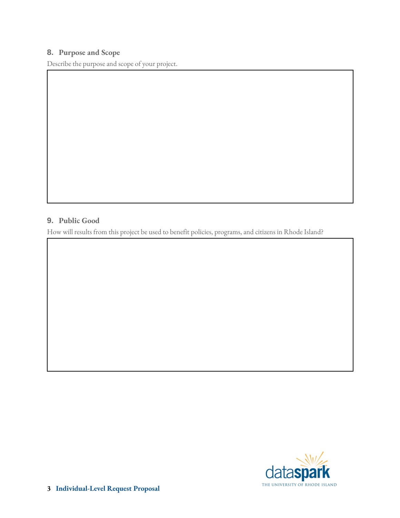#### **8. Purpose and Scope**

Describe the purpose and scope of your project.

#### **9. Public Good**

How will results from this project be used to benefit policies, programs, and citizens in Rhode Island?

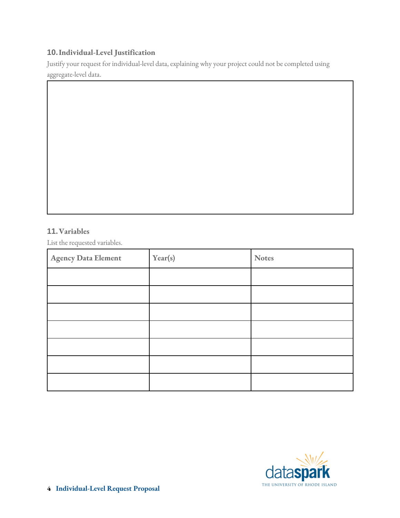#### **10.Individual-Level Justification**

Justify your request for individual-level data, explaining why your project could not be completed using aggregate-level data.

#### **11.Variables**

List the requested variables.

| <b>Agency Data Element</b> | Year(s) | <b>Notes</b> |
|----------------------------|---------|--------------|
|                            |         |              |
|                            |         |              |
|                            |         |              |
|                            |         |              |
|                            |         |              |
|                            |         |              |
|                            |         |              |

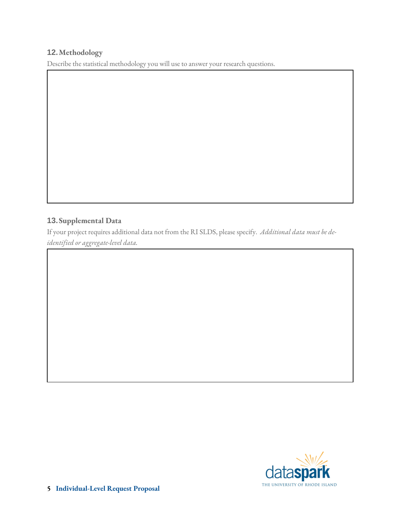#### **12.Methodology**

Describe the statistical methodology you will use to answer your research questions.

#### **13.Supplemental Data**

If your project requires additional data not from the RI SLDS, please specify. *Additional data must be deidentified or aggregate-level data.* 

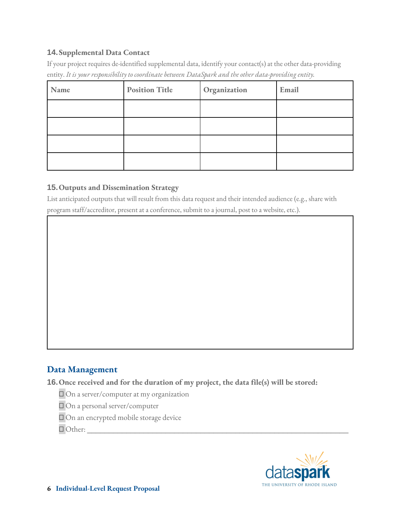#### **14.Supplemental Data Contact**

If your project requires de-identified supplemental data, identify your contact(s) at the other data-providing entity. *It is your responsibility to coordinate between DataSpark and the other data-providing entity.* 

| Name | <b>Position Title</b> | Organization | Email |
|------|-----------------------|--------------|-------|
|      |                       |              |       |
|      |                       |              |       |
|      |                       |              |       |
|      |                       |              |       |

#### **15.Outputs and Dissemination Strategy**

List anticipated outputs that will result from this data request and their intended audience (e.g., share with program staff/accreditor, present at a conference, submit to a journal, post to a website, etc.).

## **Data Management**

**16.Once received and for the duration of my project, the data file(s) will be stored:** 

□ On a server/computer at my organization

□ On a personal server/computer

□ On an encrypted mobile storage device

□ Other: \_\_\_\_\_\_\_\_\_\_\_\_\_\_\_\_\_\_\_\_\_\_\_\_\_\_\_\_\_\_\_\_\_\_\_\_\_\_\_\_\_\_\_\_\_\_\_\_\_\_\_\_\_\_\_\_\_\_\_\_